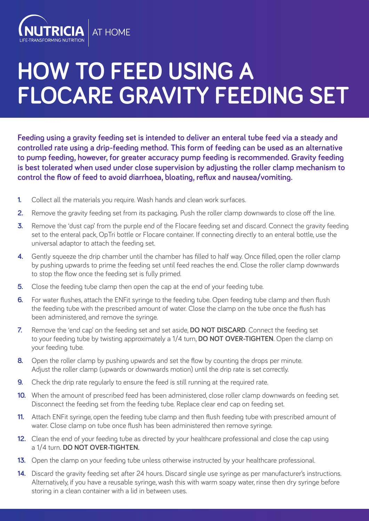

## **HOW TO FEED USING A FLOCARE GRAVITY FEEDING SET**

**Feeding using a gravity feeding set is intended to deliver an enteral tube feed via a steady and controlled rate using a drip-feeding method. This form of feeding can be used as an alternative to pump feeding, however, for greater accuracy pump feeding is recommended. Gravity feeding is best tolerated when used under close supervision by adjusting the roller clamp mechanism to control the flow of feed to avoid diarrhoea, bloating, reflux and nausea/vomiting.**

- **1.** Collect all the materials you require. Wash hands and clean work surfaces.
- **2.** Remove the gravity feeding set from its packaging. Push the roller clamp downwards to close off the line.
- **3.** Remove the 'dust cap' from the purple end of the Flocare feeding set and discard. Connect the gravity feeding set to the enteral pack, OpTri bottle or Flocare container. If connecting directly to an enteral bottle, use the universal adaptor to attach the feeding set.
- **4.** Gently squeeze the drip chamber until the chamber has filled to half way. Once filled, open the roller clamp by pushing upwards to prime the feeding set until feed reaches the end. Close the roller clamp downwards to stop the flow once the feeding set is fully primed.
- **5.** Close the feeding tube clamp then open the cap at the end of your feeding tube.
- **6.** For water flushes, attach the ENFit syringe to the feeding tube. Open feeding tube clamp and then flush the feeding tube with the prescribed amount of water. Close the clamp on the tube once the flush has been administered, and remove the syringe.
- **7.** Remove the 'end cap' on the feeding set and set aside, **DO NOT DISCARD**. Connect the feeding set to your feeding tube by twisting approximately a 1/4 turn, **DO NOT OVER-TIGHTEN**. Open the clamp on your feeding tube.
- **8.** Open the roller clamp by pushing upwards and set the flow by counting the drops per minute. Adjust the roller clamp (upwards or downwards motion) until the drip rate is set correctly.
- **9.** Check the drip rate reqularly to ensure the feed is still running at the required rate.
- **10.** When the amount of prescribed feed has been administered, close roller clamp downwards on feeding set. Disconnect the feeding set from the feeding tube. Replace clear end cap on feeding set.
- **11.** Attach ENFit syringe, open the feeding tube clamp and then flush feeding tube with prescribed amount of water. Close clamp on tube once flush has been administered then remove syringe.
- **12.** Clean the end of your feeding tube as directed by your healthcare professional and close the cap using a 1/4 turn. **DO NOT OVER-TIGHTEN.**
- **13.** Open the clamp on your feeding tube unless otherwise instructed by your healthcare professional.
- **14.** Discard the gravity feeding set after 24 hours. Discard single use syringe as per manufacturer's instructions. Alternatively, if you have a reusable syringe, wash this with warm soapy water, rinse then dry syringe before storing in a clean container with a lid in between uses.